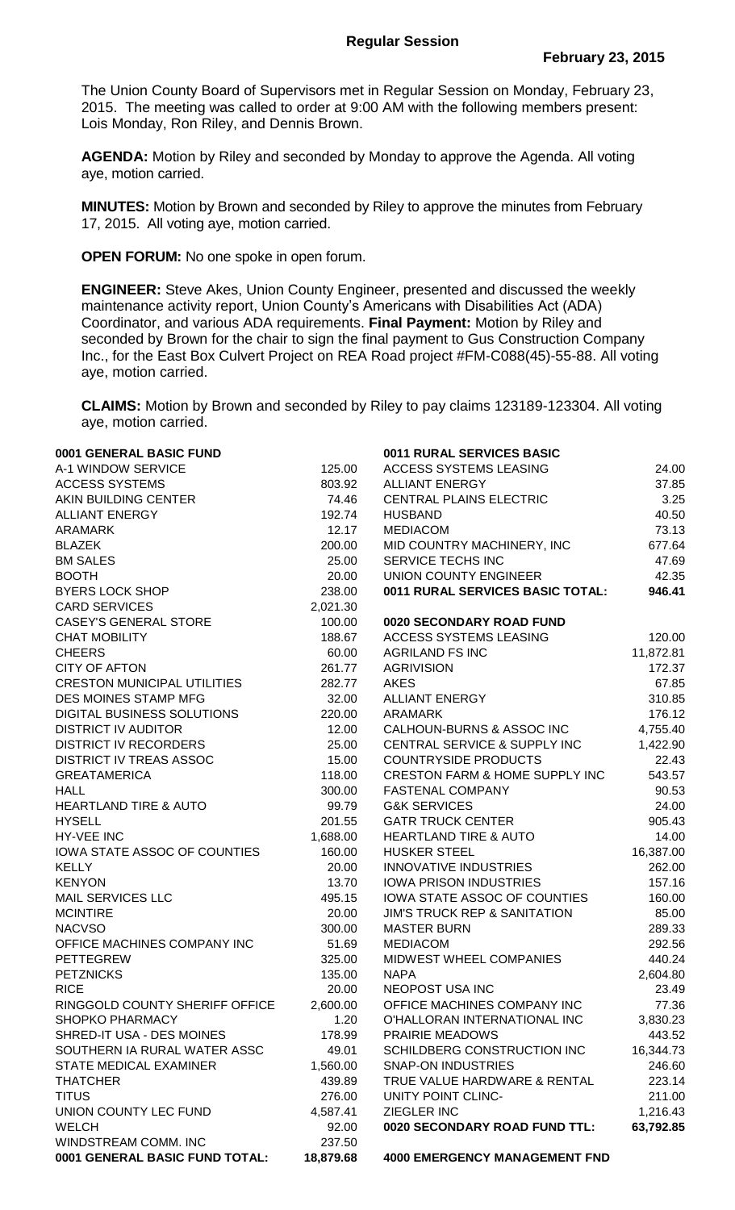The Union County Board of Supervisors met in Regular Session on Monday, February 23, 2015. The meeting was called to order at 9:00 AM with the following members present: Lois Monday, Ron Riley, and Dennis Brown.

**AGENDA:** Motion by Riley and seconded by Monday to approve the Agenda. All voting aye, motion carried.

**MINUTES:** Motion by Brown and seconded by Riley to approve the minutes from February 17, 2015. All voting aye, motion carried.

**OPEN FORUM:** No one spoke in open forum.

**ENGINEER:** Steve Akes, Union County Engineer, presented and discussed the weekly maintenance activity report, Union County's Americans with Disabilities Act (ADA) Coordinator, and various ADA requirements. **Final Payment:** Motion by Riley and seconded by Brown for the chair to sign the final payment to Gus Construction Company Inc., for the East Box Culvert Project on REA Road project #FM-C088(45)-55-88. All voting aye, motion carried.

**CLAIMS:** Motion by Brown and seconded by Riley to pay claims 123189-123304. All voting aye, motion carried.

| 0001 GENERAL BASIC FUND            |           | 0011 RURAL SERVICES BASIC                 |           |
|------------------------------------|-----------|-------------------------------------------|-----------|
| A-1 WINDOW SERVICE                 | 125.00    | <b>ACCESS SYSTEMS LEASING</b>             | 24.00     |
| <b>ACCESS SYSTEMS</b>              | 803.92    | <b>ALLIANT ENERGY</b>                     | 37.85     |
| AKIN BUILDING CENTER               | 74.46     | <b>CENTRAL PLAINS ELECTRIC</b>            | 3.25      |
| <b>ALLIANT ENERGY</b>              | 192.74    | <b>HUSBAND</b>                            | 40.50     |
| <b>ARAMARK</b>                     | 12.17     | <b>MEDIACOM</b>                           | 73.13     |
| <b>BLAZEK</b>                      | 200.00    | MID COUNTRY MACHINERY, INC                | 677.64    |
| <b>BM SALES</b>                    | 25.00     | SERVICE TECHS INC                         | 47.69     |
| <b>BOOTH</b>                       | 20.00     | UNION COUNTY ENGINEER                     | 42.35     |
| <b>BYERS LOCK SHOP</b>             | 238.00    | 0011 RURAL SERVICES BASIC TOTAL:          | 946.41    |
| <b>CARD SERVICES</b>               | 2,021.30  |                                           |           |
| <b>CASEY'S GENERAL STORE</b>       | 100.00    | 0020 SECONDARY ROAD FUND                  |           |
| <b>CHAT MOBILITY</b>               | 188.67    | <b>ACCESS SYSTEMS LEASING</b>             | 120.00    |
| <b>CHEERS</b>                      | 60.00     | <b>AGRILAND FS INC</b>                    | 11,872.81 |
| <b>CITY OF AFTON</b>               | 261.77    | <b>AGRIVISION</b>                         | 172.37    |
| <b>CRESTON MUNICIPAL UTILITIES</b> | 282.77    | <b>AKES</b>                               | 67.85     |
| DES MOINES STAMP MFG               | 32.00     | <b>ALLIANT ENERGY</b>                     | 310.85    |
| DIGITAL BUSINESS SOLUTIONS         | 220.00    | ARAMARK                                   | 176.12    |
| <b>DISTRICT IV AUDITOR</b>         | 12.00     | CALHOUN-BURNS & ASSOC INC                 | 4,755.40  |
| <b>DISTRICT IV RECORDERS</b>       | 25.00     | <b>CENTRAL SERVICE &amp; SUPPLY INC</b>   | 1,422.90  |
| <b>DISTRICT IV TREAS ASSOC</b>     | 15.00     | <b>COUNTRYSIDE PRODUCTS</b>               | 22.43     |
| <b>GREATAMERICA</b>                | 118.00    | <b>CRESTON FARM &amp; HOME SUPPLY INC</b> | 543.57    |
| <b>HALL</b>                        | 300.00    | <b>FASTENAL COMPANY</b>                   | 90.53     |
| <b>HEARTLAND TIRE &amp; AUTO</b>   | 99.79     | <b>G&amp;K SERVICES</b>                   | 24.00     |
| <b>HYSELL</b>                      | 201.55    | <b>GATR TRUCK CENTER</b>                  | 905.43    |
| <b>HY-VEE INC</b>                  | 1,688.00  | <b>HEARTLAND TIRE &amp; AUTO</b>          | 14.00     |
| IOWA STATE ASSOC OF COUNTIES       | 160.00    | <b>HUSKER STEEL</b>                       | 16,387.00 |
| <b>KELLY</b>                       | 20.00     | <b>INNOVATIVE INDUSTRIES</b>              | 262.00    |
| <b>KENYON</b>                      | 13.70     | <b>IOWA PRISON INDUSTRIES</b>             | 157.16    |
| <b>MAIL SERVICES LLC</b>           | 495.15    | IOWA STATE ASSOC OF COUNTIES              | 160.00    |
| <b>MCINTIRE</b>                    | 20.00     | <b>JIM'S TRUCK REP &amp; SANITATION</b>   | 85.00     |
| <b>NACVSO</b>                      | 300.00    | <b>MASTER BURN</b>                        | 289.33    |
| OFFICE MACHINES COMPANY INC        | 51.69     | <b>MEDIACOM</b>                           | 292.56    |
| <b>PETTEGREW</b>                   | 325.00    | MIDWEST WHEEL COMPANIES                   | 440.24    |
| <b>PETZNICKS</b>                   | 135.00    | <b>NAPA</b>                               | 2,604.80  |
| <b>RICE</b>                        | 20.00     | NEOPOST USA INC                           | 23.49     |
| RINGGOLD COUNTY SHERIFF OFFICE     | 2,600.00  | OFFICE MACHINES COMPANY INC               | 77.36     |
| <b>SHOPKO PHARMACY</b>             | 1.20      | O'HALLORAN INTERNATIONAL INC              | 3,830.23  |
| SHRED-IT USA - DES MOINES          | 178.99    | PRAIRIE MEADOWS                           | 443.52    |
| SOUTHERN IA RURAL WATER ASSC       | 49.01     | SCHILDBERG CONSTRUCTION INC               | 16,344.73 |
| <b>STATE MEDICAL EXAMINER</b>      | 1,560.00  | <b>SNAP-ON INDUSTRIES</b>                 | 246.60    |
| <b>THATCHER</b>                    | 439.89    | TRUE VALUE HARDWARE & RENTAL              | 223.14    |
| <b>TITUS</b>                       | 276.00    | UNITY POINT CLINC-                        | 211.00    |
| UNION COUNTY LEC FUND              | 4,587.41  | ZIEGLER INC                               | 1,216.43  |
| <b>WELCH</b>                       | 92.00     | 0020 SECONDARY ROAD FUND TTL:             | 63,792.85 |
| WINDSTREAM COMM. INC               | 237.50    |                                           |           |
| 0001 GENERAL BASIC FUND TOTAL:     | 18,879.68 | <b>4000 EMERGENCY MANAGEMENT FND</b>      |           |